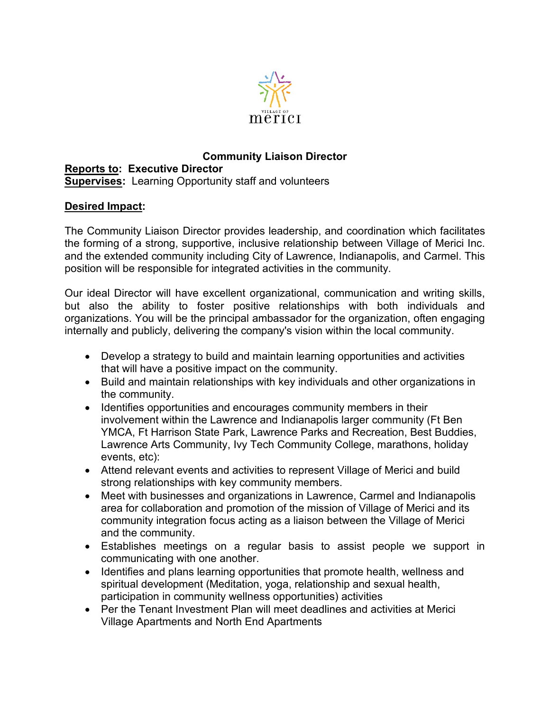

## **Community Liaison Director Reports to: Executive Director Supervises:** Learning Opportunity staff and volunteers

## **Desired Impact:**

The Community Liaison Director provides leadership, and coordination which facilitates the forming of a strong, supportive, inclusive relationship between Village of Merici Inc. and the extended community including City of Lawrence, Indianapolis, and Carmel. This position will be responsible for integrated activities in the community.

Our ideal Director will have excellent organizational, communication and writing skills, but also the ability to foster positive relationships with both individuals and organizations. You will be the principal ambassador for the organization, often engaging internally and publicly, delivering the company's vision within the local community.

- Develop a strategy to build and maintain learning opportunities and activities that will have a positive impact on the community.
- Build and maintain relationships with key individuals and other organizations in the community.
- Identifies opportunities and encourages community members in their involvement within the Lawrence and Indianapolis larger community (Ft Ben YMCA, Ft Harrison State Park, Lawrence Parks and Recreation, Best Buddies, Lawrence Arts Community, Ivy Tech Community College, marathons, holiday events, etc):
- Attend relevant events and activities to represent Village of Merici and build strong relationships with key community members.
- Meet with businesses and organizations in Lawrence, Carmel and Indianapolis area for collaboration and promotion of the mission of Village of Merici and its community integration focus acting as a liaison between the Village of Merici and the community.
- Establishes meetings on a regular basis to assist people we support in communicating with one another.
- Identifies and plans learning opportunities that promote health, wellness and spiritual development (Meditation, yoga, relationship and sexual health, participation in community wellness opportunities) activities
- Per the Tenant Investment Plan will meet deadlines and activities at Merici Village Apartments and North End Apartments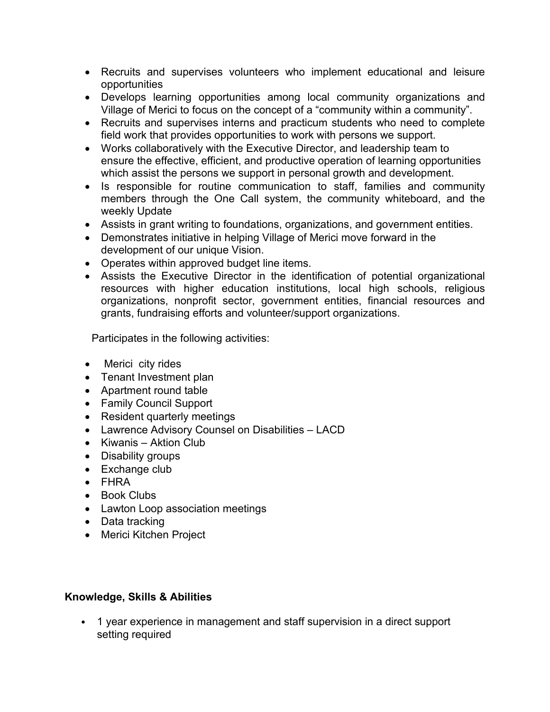- Recruits and supervises volunteers who implement educational and leisure opportunities
- Develops learning opportunities among local community organizations and Village of Merici to focus on the concept of a "community within a community".
- Recruits and supervises interns and practicum students who need to complete field work that provides opportunities to work with persons we support.
- Works collaboratively with the Executive Director, and leadership team to ensure the effective, efficient, and productive operation of learning opportunities which assist the persons we support in personal growth and development.
- Is responsible for routine communication to staff, families and community members through the One Call system, the community whiteboard, and the weekly Update
- Assists in grant writing to foundations, organizations, and government entities.
- Demonstrates initiative in helping Village of Merici move forward in the development of our unique Vision.
- Operates within approved budget line items.
- Assists the Executive Director in the identification of potential organizational resources with higher education institutions, local high schools, religious organizations, nonprofit sector, government entities, financial resources and grants, fundraising efforts and volunteer/support organizations.

Participates in the following activities:

- Merici city rides
- Tenant Investment plan
- Apartment round table
- Family Council Support
- Resident quarterly meetings
- Lawrence Advisory Counsel on Disabilities LACD
- Kiwanis Aktion Club
- Disability groups
- Exchange club
- FHRA
- Book Clubs
- Lawton Loop association meetings
- Data tracking
- Merici Kitchen Project

## **Knowledge, Skills & Abilities**

• 1 year experience in management and staff supervision in a direct support setting required